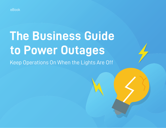

# **The Business Guide to Power Outages**

Keep Operations On When the Lights Are Off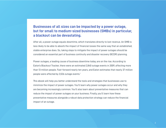## **Businesses of all sizes can be impacted by a power outage, but for small to medium-sized businesses (SMBs) in particular, a blackout can be devastating.**

After all, a power outage equals downtime, which translates directly to lost revenue. An SMB is less likely to be able to absorb the impact of financial losses the same way that an established, stable enterprise does. So, taking steps to mitigate the impact of power outages should be considered an essential part of business continuity and disaster recovery (BCDR) planning.

Power outages, a leading cause of business downtime today, are on the rise. According to Eaton's Blackout Tracker, there were an estimated 2,840 outage events in 2009, affecting more than 13 million people. Fast-forward nearly ten years, and Eaton estimates that nearly 37 million people were affected by 3,526 outage events.<sup>1</sup>

This ebook will help you better understand the tools and strategies that businesses use to minimize the impact of power outages. You'll learn why power outages occur and why they are becoming increasingly common. You'll also learn about preventative measures that can reduce the impact of power outages on your business. Finally, you'll learn how these preventative measures alongside a robust data protection strategy can reduce the financial impact of an outage.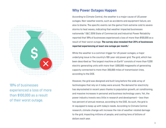

18% of businesses experienced a loss of more than \$100,000 as a result of their worst outage.

## **Why Power Outages Happen**

According to Climate Central, the weather is a major cause of US power outages. Non-weather events, such as accidents and equipment failure, are also to blame. The specific events ran the gamut from extreme cold to severe storms to heat waves, indicating that weather impacted businesses nationwide.<sup>2</sup> S&C 2018 State of Commercial and Industrial Power Reliability reported that 18% of businesses experienced a loss of more than \$100,000 as a result of their worst outage. **The survey also revealed that 25% of businesses reported experiencing at least one outage per month.**<sup>3</sup>

While the weather is a common trigger for US power outages, a major underlying issue is the country's 100-year-old power grid. The grid, which has been described as "the largest machine on Earth" consists of more than 9,200 electric generating units with more than 1,000,000 megawatts of generating capacity connected to more than 300,000 miles of transmission lines, according to the DOE.

However, the grid was designed and built long before the wide array of technologies that rely on it today were around. The demand for electricity has skyrocketed in recent years thanks to population growth, air conditioning, and massive increases in personal and business technology users. Yet, the power industry invests very little in research and development – less than two percent of annual revenue, according to the DOE. As such, the grid is ill-equipped to keep up with today's needs. According to Climate Central research, climate change will increase the risk of weather-related damage to the grid, impacting millions of people, and costing tens of billions of dollars each year.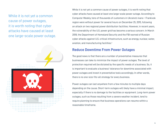While it is not yet a common cause of power outages, it is worth noting that cyber attacks have caused at least one large-scale power outage.



While it is not yet a common cause of power outages, it is worth noting that cyber attacks have caused at least one large-scale power outage. According to Computer Weekly, tens of thousands of customers in Ukraine's Ivano – Frankivsk region were without power for several hours on December 25, 2015, following an attack on two regional power distribution facilities. However, in recent years, the vulnerability of the U.S. power grid has become a serious concern. In March 2018, the Department of Homeland Security and the FBI warned of Russian cyber attacks against U.S. critical infrastructure, such as energy, nuclear, water, aviation, and manufacturing facilities.4

### **Reduce Downtime From Power Outages**

The good news is that there are a number of preventative measures that businesses can take to minimize the impact of power outages. The level of protection required will be dictated by the specific needs of a business. So, it is important to evaluate a business' tolerance for downtime associated with power outages and invest in preventative tools accordingly. In other words, there is no one-size-fits-all strategy for every business.

Power outages can last anywhere from a few minutes to multiple days depending on the cause. Short-term outages will likely have a minimal impact, especially if there is no damage to the facilities or equipment. Long-term power outages, such as those resulting from a severe weather incident, tend to require planning to ensure that business operations can resume within a reasonable timeframe.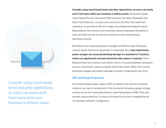

Consider using cloud-based email and other applications, so users can easily work from home while your business is without power.

**Consider using cloud-based email and other applications, so users can easily work from home while your business is without power.** Enterprise-grade, cloud-based file sync and share (FSS) services, like Datto Workplace and Datto File Protection, can give users access to the files they need from anywhere, on any device. Not all outages are widespread regional events. Depending on the nature of your business, giving employees the ability to work remotely can be an effective method for returning business operations quickly.

Businesses are impacted by power outages in different ways. Obviously, without power, electronic equipment is inoperable. But, **more importantly, power outages can cause devastating damage to a business's IT systems, which can significantly increase downtime after power is restored.** This is because electronic devices that offices rely on, including desktop computers, servers, and printers, require a steady electrical current. When that current becomes irregular, permanent damage to system components can occur.

#### **UPS and Surge Protection**

An uninterruptible power supply (UPS) is a device that ensures computer systems can stay on temporarily in the moments following a power outage, so they can be shut down gracefully to avoid losing data in RAM. They also provide surge protection, to ensure that electrical current irregularities do not damage computer components.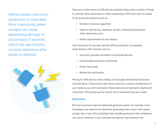Without power, electronic equipment is inoperable. More importantly, power outages can cause devastating damage to a business's IT systems, which can significantly increase downtime after power is restored.



There are a wide variety of UPS devices available today, and a number of things to consider when selecting one. When evaluating a UPS, start with the needs of the protected systems, such as:

- •Number of devices supported
- •Types of devices (e.g., desktops, servers, networking equipment, other electronics, etc.)
- •Power requirements for each device

You'll also want to consider specific UPS functionality. For example, many devices offer features such as:

- •Automatic graceful shutdown of protected devices
- •Customizable shutdown commands
- •Power save mode
- Battery life notification

Pricing for UPS devices varies widely, and is largely dictated by the factors outlined above. Choosing the right device requires a careful consideration of your needs so you don't overspend. These devices can represent a significant investment. That being said, be careful not to underestimate your needs.

#### **Generators**

Not every business requires dedicated generator power. For example, most businesses can tolerate the downtime associated with a short-term power outage. Also, many office buildings have standby generators that companies can rely on. However, if your business has specific requirements that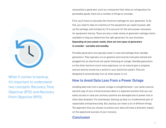

When it comes to backup, it's important to understand two concepts: Recovery Time Objective (RTO) and Recovery Point Objective (RPO).

necessitate a generator, such as a restaurant that relies on refrigerators for perishable goods, there are a number of things to consider.

First, you'll have to calculate the minimum wattage for your generator. To do this, you need to take an inventory of the equipment you need to power, add up the wattage, and multiply by 1.5 to account for the extra power necessary for equipment startup. There are also a wide variety of generator wattage charts available to help you determine the right generator for your business. **Depending on your power needs, there are two types of generators to consider – portable and standby.** 

Portable generators are typically lower in cost and wattage than standby generators. They typically run on gasoline and must be manually started and plugged into an electrical sub-panel following an outage. Standby generators on the other hand are much more expensive, run on natural gas or propane, and are directly wired into a switch in your electrical system. They are designed to automatically turn on when power is cut.

### **How to Avoid Data Loss From a Power Outage**

Avoiding data loss from a power outage is straightforward – you need a secure, second copy of your critical business data in a separate location that you can easily access in case your primary systems are damaged due to power loss or other data disasters. For businesses, backing up data is a fundamental part of responsible entrepreneurship. But, backup can mean a lot of different things. The approach that you choose to protect your data will have a dramatic impact on the speed and success of your recovery.

# **Conclusion**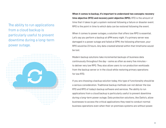The ability to run applications from a cloud backup is particularly useful to prevent downtime during a long-term power outage.



**When it comes to backup, it's important to understand two concepts: recovery time objective (RTO) and recovery point objective (RPO).** RTO is the amount of time that it takes to get a system restored following a failure or disaster event. RPO is the point in time to which data can be restored following the event.

When it comes to power outages, a solution that offers low RPO is essential. Let's say you perform a backup at 6PM every night. If a primary server was damaged in a power outage and failed at 5PM, the following afternoon, your RPO would be 23 hours. Any data created/altered within that timeframe would be lost.

Modern backup solutions take incremental backups of business data continuously throughout the day – some as often as every five minutes – to deliver very low RPO. They also allow users to run production workloads from the backup server or in the cloud while restoring primary operations for low RTO.

If you are choosing a backup solution today, this type of functionality should be a serious consideration. Traditional backup methods can not deliver the low RTO and RPO of today's backup software and services. The ability to run applications from a cloud backup is particularly useful to prevent downtime during a long-term power outage. Data protection solutions, like Datto's, allow businesses to access the critical applications they need to conduct normal business operations even when their on premises systems are without power.